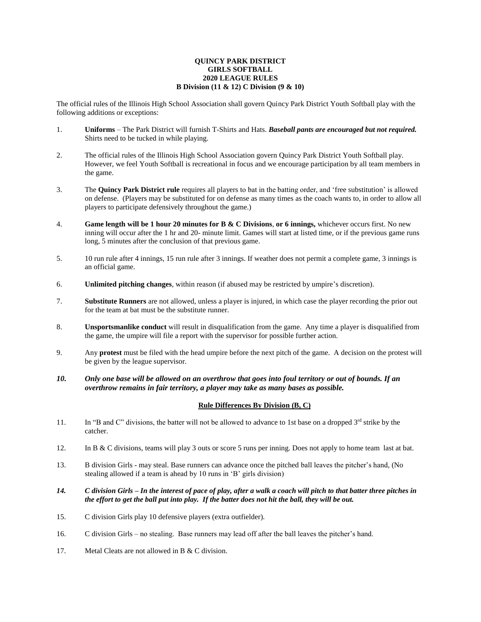## **QUINCY PARK DISTRICT GIRLS SOFTBALL 2020 LEAGUE RULES B Division (11 & 12) C Division (9 & 10)**

The official rules of the Illinois High School Association shall govern Quincy Park District Youth Softball play with the following additions or exceptions:

- 1. **Uniforms** The Park District will furnish T-Shirts and Hats. *Baseball pants are encouraged but not required.* Shirts need to be tucked in while playing.
- 2. The official rules of the Illinois High School Association govern Quincy Park District Youth Softball play. However, we feel Youth Softball is recreational in focus and we encourage participation by all team members in the game.
- 3. The **Quincy Park District rule** requires all players to bat in the batting order, and 'free substitution' is allowed on defense. (Players may be substituted for on defense as many times as the coach wants to, in order to allow all players to participate defensively throughout the game.)
- 4. **Game length will be 1 hour 20 minutes for B & C Divisions**, **or 6 innings,** whichever occurs first. No new inning will occur after the 1 hr and 20- minute limit. Games will start at listed time, or if the previous game runs long, 5 minutes after the conclusion of that previous game.
- 5. 10 run rule after 4 innings, 15 run rule after 3 innings. If weather does not permit a complete game, 3 innings is an official game.
- 6. **Unlimited pitching changes**, within reason (if abused may be restricted by umpire's discretion).
- 7. **Substitute Runners** are not allowed, unless a player is injured, in which case the player recording the prior out for the team at bat must be the substitute runner.
- 8. **Unsportsmanlike conduct** will result in disqualification from the game. Any time a player is disqualified from the game, the umpire will file a report with the supervisor for possible further action.
- 9. Any **protest** must be filed with the head umpire before the next pitch of the game. A decision on the protest will be given by the league supervisor.
- *10. Only one base will be allowed on an overthrow that goes into foul territory or out of bounds. If an overthrow remains in fair territory, a player may take as many bases as possible.*

## **Rule Differences By Division (B, C)**

- 11. In "B and C" divisions, the batter will not be allowed to advance to 1st base on a dropped  $3^{rd}$  strike by the catcher.
- 12. In B & C divisions, teams will play 3 outs or score 5 runs per inning. Does not apply to home team last at bat.
- 13. B division Girls may steal. Base runners can advance once the pitched ball leaves the pitcher's hand, (No stealing allowed if a team is ahead by 10 runs in 'B' girls division)
- *14. C division Girls – In the interest of pace of play, after a walk a coach will pitch to that batter three pitches in the effort to get the ball put into play. If the batter does not hit the ball, they will be out.*
- 15. C division Girls play 10 defensive players (extra outfielder).
- 16. C division Girls no stealing. Base runners may lead off after the ball leaves the pitcher's hand.
- 17. Metal Cleats are not allowed in B & C division.